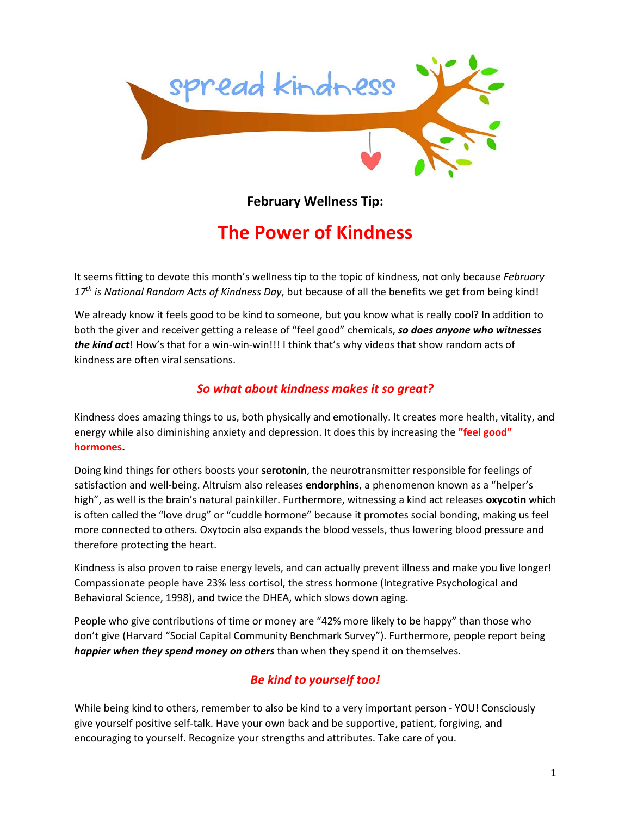

**February Wellness Tip:**

## **The Power of Kindness**

It seems fitting to devote this month's wellness tip to the topic of kindness, not only because *February 17th is National Random Acts of Kindness Day*, but because of all the benefits we get from being kind!

We already know it feels good to be kind to someone, but you know what is really cool? In addition to both the giver and receiver getting a release of "feel good" chemicals, *so does anyone who witnesses the kind act*! How's that for a win-win-win!!! I think that's why videos that show random acts of kindness are often viral sensations.

## *So what about kindness makes it so great?*

Kindness does amazing things to us, both physically and emotionally. It creates more health, vitality, and energy while also diminishing anxiety and depression. It does this by increasing the **"feel good" hormones.**

Doing kind things for others boosts your **serotonin**, the neurotransmitter responsible for feelings of satisfaction and well-being. Altruism also releases **endorphins**, a phenomenon known as a "helper's high", as well is the brain's natural painkiller. Furthermore, witnessing a kind act releases **oxycotin** which is often called the "love drug" or "cuddle hormone" because it promotes social bonding, making us feel more connected to others. Oxytocin also expands the blood vessels, thus lowering blood pressure and therefore protecting the heart.

Kindness is also proven to raise energy levels, and can actually prevent illness and make you live longer! Compassionate people have 23% less cortisol, the stress hormone (Integrative Psychological and Behavioral Science, 1998), and twice the DHEA, which slows down aging.

People who give contributions of time or money are "42% more likely to be happy" than those who don't give (Harvard "Social Capital Community Benchmark Survey"). Furthermore, people report being *happier when they spend money on others* than when they spend it on themselves.

## *Be kind to yourself too!*

While being kind to others, remember to also be kind to a very important person - YOU! Consciously give yourself positive self-talk. Have your own back and be supportive, patient, forgiving, and encouraging to yourself. Recognize your strengths and attributes. Take care of you.